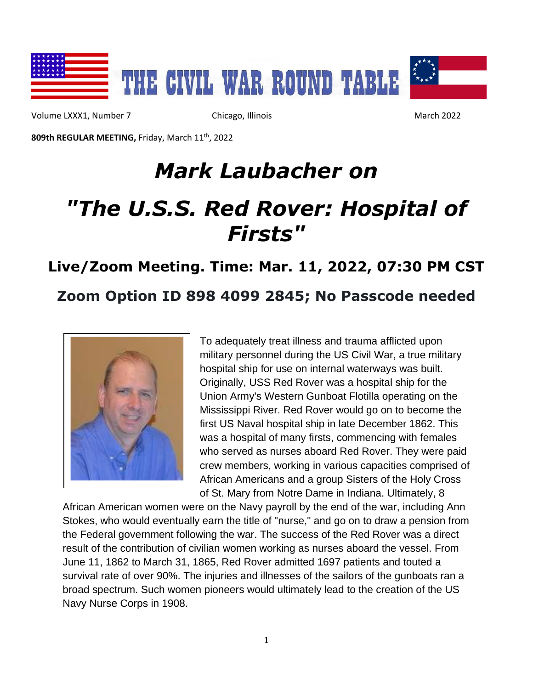

Volume LXXX1, Number 7 Chicago, Illinois March 2022

**809th REGULAR MEETING,** Friday, March 11 th, 2022

# *Mark Laubacher on*

# *"The U.S.S. Red Rover: Hospital of Firsts"*

## **Live/Zoom Meeting. Time: Mar. 11, 2022, 07:30 PM CST Zoom Option ID 898 4099 2845; No Passcode needed**



To adequately treat illness and trauma afflicted upon military personnel during the US Civil War, a true military hospital ship for use on internal waterways was built. Originally, USS Red Rover was a hospital ship for the Union Army's Western Gunboat Flotilla operating on the Mississippi River. Red Rover would go on to become the first US Naval hospital ship in late December 1862. This was a hospital of many firsts, commencing with females who served as nurses aboard Red Rover. They were paid crew members, working in various capacities comprised of African Americans and a group Sisters of the Holy Cross of St. Mary from Notre Dame in Indiana. Ultimately, 8

African American women were on the Navy payroll by the end of the war, including Ann Stokes, who would eventually earn the title of "nurse," and go on to draw a pension from the Federal government following the war. The success of the Red Rover was a direct result of the contribution of civilian women working as nurses aboard the vessel. From June 11, 1862 to March 31, 1865, Red Rover admitted 1697 patients and touted a survival rate of over 90%. The injuries and illnesses of the sailors of the gunboats ran a broad spectrum. Such women pioneers would ultimately lead to the creation of the US Navy Nurse Corps in 1908.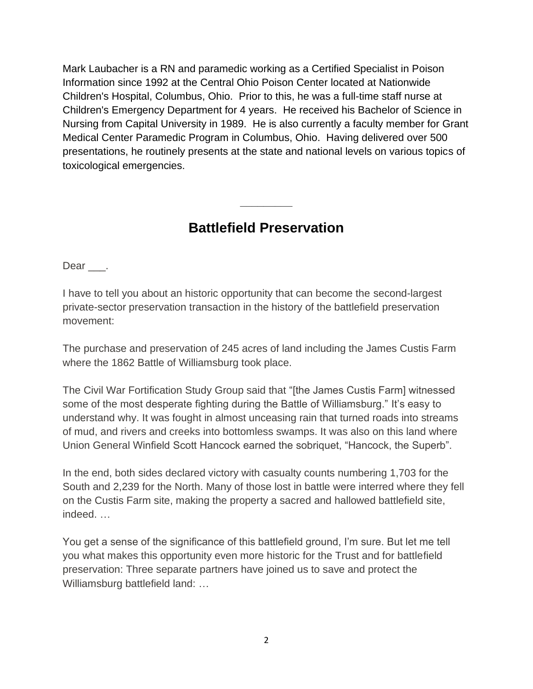Mark Laubacher is a RN and paramedic working as a Certified Specialist in Poison Information since 1992 at the Central Ohio Poison Center located at Nationwide Children's Hospital, Columbus, Ohio. Prior to this, he was a full-time staff nurse at Children's Emergency Department for 4 years. He received his Bachelor of Science in Nursing from Capital University in 1989. He is also currently a faculty member for Grant Medical Center Paramedic Program in Columbus, Ohio. Having delivered over 500 presentations, he routinely presents at the state and national levels on various topics of toxicological emergencies.

#### **Battlefield Preservation**

**\_\_\_\_\_\_\_\_\_**

Dear .

I have to tell you about an historic opportunity that can become the second-largest private-sector preservation transaction in the history of the battlefield preservation movement:

The purchase and preservation of 245 acres of land including the James Custis Farm where the 1862 Battle of Williamsburg took place.

The Civil War Fortification Study Group said that "[the James Custis Farm] witnessed some of the most desperate fighting during the Battle of Williamsburg." It's easy to understand why. It was fought in almost unceasing rain that turned roads into streams of mud, and rivers and creeks into bottomless swamps. It was also on this land where Union General Winfield Scott Hancock earned the sobriquet, "Hancock, the Superb".

In the end, both sides declared victory with casualty counts numbering 1,703 for the South and 2,239 for the North. Many of those lost in battle were interred where they fell on the Custis Farm site, making the property a sacred and hallowed battlefield site, indeed. …

You get a sense of the significance of this battlefield ground, I'm sure. But let me tell you what makes this opportunity even more historic for the Trust and for battlefield preservation: Three separate partners have joined us to save and protect the Williamsburg battlefield land: …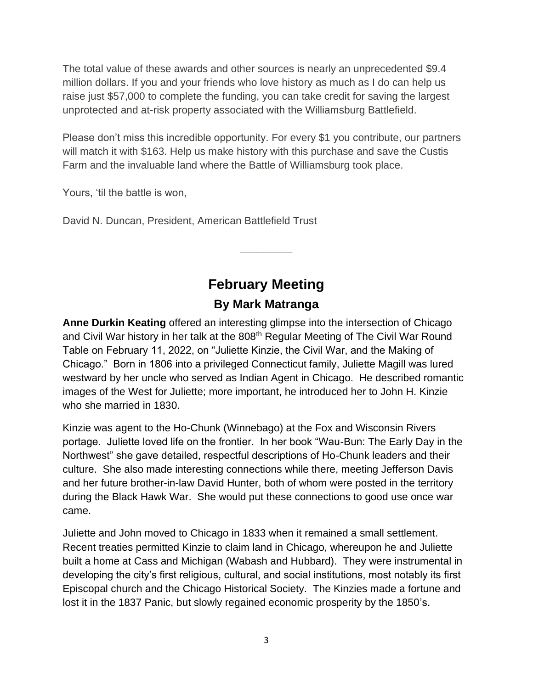The total value of these awards and other sources is nearly an unprecedented \$9.4 million dollars. If you and your friends who love history as much as I do can help us raise just \$57,000 to complete the funding, you can take credit for saving the largest unprotected and at-risk property associated with the Williamsburg Battlefield.

Please don't miss this incredible opportunity. For every \$1 you contribute, our partners will match it with \$163. Help us make history with this purchase and save the Custis Farm and the invaluable land where the Battle of Williamsburg took place.

Yours, 'til the battle is won,

David N. Duncan, President, American Battlefield Trust

### **February Meeting By Mark Matranga**

**\_\_\_\_\_\_\_\_\_**

**Anne Durkin Keating** offered an interesting glimpse into the intersection of Chicago and Civil War history in her talk at the 808<sup>th</sup> Regular Meeting of The Civil War Round Table on February 11, 2022, on "Juliette Kinzie, the Civil War, and the Making of Chicago." Born in 1806 into a privileged Connecticut family, Juliette Magill was lured westward by her uncle who served as Indian Agent in Chicago. He described romantic images of the West for Juliette; more important, he introduced her to John H. Kinzie who she married in 1830.

Kinzie was agent to the Ho-Chunk (Winnebago) at the Fox and Wisconsin Rivers portage. Juliette loved life on the frontier. In her book "Wau-Bun: The Early Day in the Northwest" she gave detailed, respectful descriptions of Ho-Chunk leaders and their culture. She also made interesting connections while there, meeting Jefferson Davis and her future brother-in-law David Hunter, both of whom were posted in the territory during the Black Hawk War. She would put these connections to good use once war came.

Juliette and John moved to Chicago in 1833 when it remained a small settlement. Recent treaties permitted Kinzie to claim land in Chicago, whereupon he and Juliette built a home at Cass and Michigan (Wabash and Hubbard). They were instrumental in developing the city's first religious, cultural, and social institutions, most notably its first Episcopal church and the Chicago Historical Society. The Kinzies made a fortune and lost it in the 1837 Panic, but slowly regained economic prosperity by the 1850's.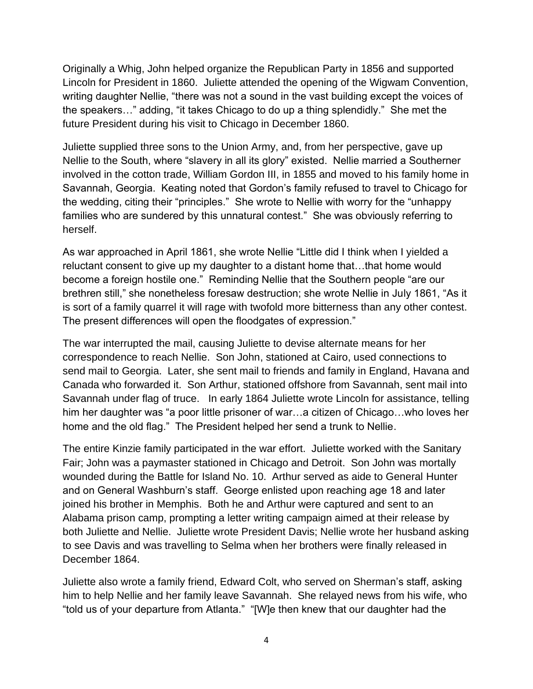Originally a Whig, John helped organize the Republican Party in 1856 and supported Lincoln for President in 1860. Juliette attended the opening of the Wigwam Convention, writing daughter Nellie, "there was not a sound in the vast building except the voices of the speakers…" adding, "it takes Chicago to do up a thing splendidly." She met the future President during his visit to Chicago in December 1860.

Juliette supplied three sons to the Union Army, and, from her perspective, gave up Nellie to the South, where "slavery in all its glory" existed. Nellie married a Southerner involved in the cotton trade, William Gordon III, in 1855 and moved to his family home in Savannah, Georgia. Keating noted that Gordon's family refused to travel to Chicago for the wedding, citing their "principles." She wrote to Nellie with worry for the "unhappy families who are sundered by this unnatural contest." She was obviously referring to herself.

As war approached in April 1861, she wrote Nellie "Little did I think when I yielded a reluctant consent to give up my daughter to a distant home that…that home would become a foreign hostile one." Reminding Nellie that the Southern people "are our brethren still," she nonetheless foresaw destruction; she wrote Nellie in July 1861, "As it is sort of a family quarrel it will rage with twofold more bitterness than any other contest. The present differences will open the floodgates of expression."

The war interrupted the mail, causing Juliette to devise alternate means for her correspondence to reach Nellie. Son John, stationed at Cairo, used connections to send mail to Georgia. Later, she sent mail to friends and family in England, Havana and Canada who forwarded it. Son Arthur, stationed offshore from Savannah, sent mail into Savannah under flag of truce. In early 1864 Juliette wrote Lincoln for assistance, telling him her daughter was "a poor little prisoner of war...a citizen of Chicago...who loves her home and the old flag." The President helped her send a trunk to Nellie.

The entire Kinzie family participated in the war effort. Juliette worked with the Sanitary Fair; John was a paymaster stationed in Chicago and Detroit. Son John was mortally wounded during the Battle for Island No. 10. Arthur served as aide to General Hunter and on General Washburn's staff. George enlisted upon reaching age 18 and later joined his brother in Memphis. Both he and Arthur were captured and sent to an Alabama prison camp, prompting a letter writing campaign aimed at their release by both Juliette and Nellie. Juliette wrote President Davis; Nellie wrote her husband asking to see Davis and was travelling to Selma when her brothers were finally released in December 1864.

Juliette also wrote a family friend, Edward Colt, who served on Sherman's staff, asking him to help Nellie and her family leave Savannah. She relayed news from his wife, who "told us of your departure from Atlanta." "[W]e then knew that our daughter had the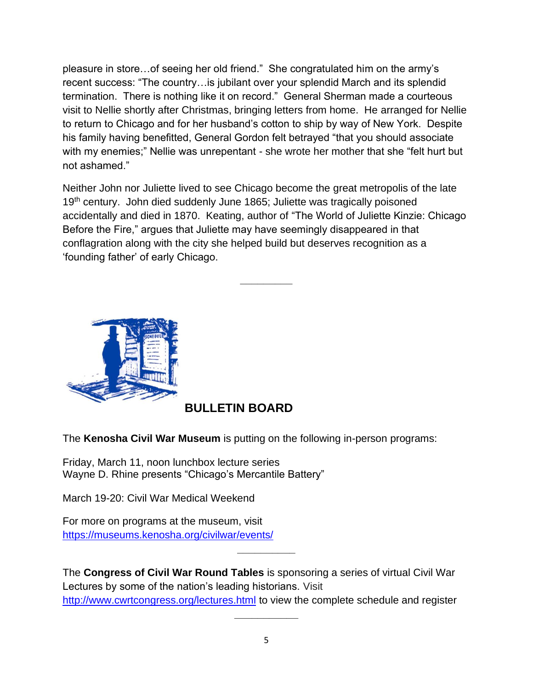pleasure in store…of seeing her old friend." She congratulated him on the army's recent success: "The country…is jubilant over your splendid March and its splendid termination. There is nothing like it on record." General Sherman made a courteous visit to Nellie shortly after Christmas, bringing letters from home. He arranged for Nellie to return to Chicago and for her husband's cotton to ship by way of New York. Despite his family having benefitted, General Gordon felt betrayed "that you should associate with my enemies;" Nellie was unrepentant - she wrote her mother that she "felt hurt but not ashamed."

Neither John nor Juliette lived to see Chicago become the great metropolis of the late 19<sup>th</sup> century. John died suddenly June 1865; Juliette was tragically poisoned accidentally and died in 1870. Keating, author of "The World of Juliette Kinzie: Chicago Before the Fire," argues that Juliette may have seemingly disappeared in that conflagration along with the city she helped build but deserves recognition as a 'founding father' of early Chicago.

**\_\_\_\_\_\_\_\_\_**



#### **BULLETIN BOARD**

The **Kenosha Civil War Museum** is putting on the following in-person programs:

Friday, March 11, noon lunchbox lecture series Wayne D. Rhine presents "Chicago's Mercantile Battery"

March 19-20: Civil War Medical Weekend

For more on programs at the museum, visit <https://museums.kenosha.org/civilwar/events/>

The **Congress of Civil War Round Tables** is sponsoring a series of virtual Civil War Lectures by some of the nation's leading historians. Visit <http://www.cwrtcongress.org/lectures.html> to view the complete schedule and register

**\_\_\_\_\_\_\_\_\_\_**

**\_\_\_\_\_\_\_\_\_\_\_**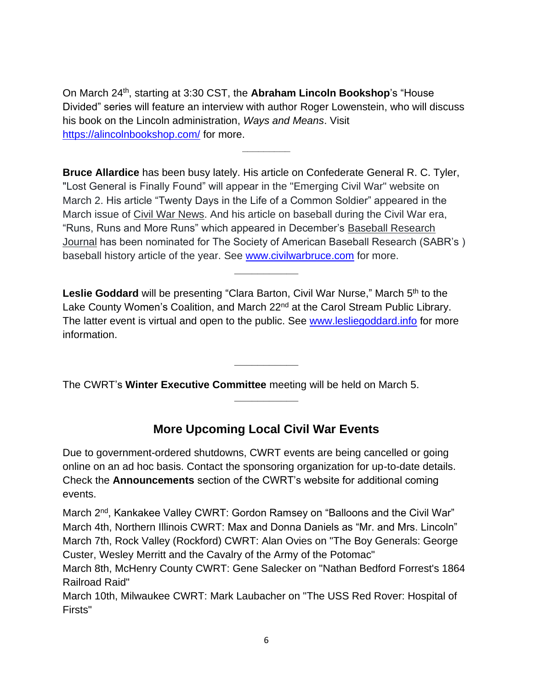On March 24<sup>th</sup>, starting at 3:30 CST, the **Abraham Lincoln Bookshop**'s "House Divided" series will feature an interview with author Roger Lowenstein, who will discuss his book on the Lincoln administration, *Ways and Means*. Visit <https://alincolnbookshop.com/> for more.

**\_\_\_\_\_\_\_\_\_**

**Bruce Allardice** has been busy lately. His article on Confederate General R. C. Tyler, "Lost General is Finally Found" will appear in the "Emerging Civil War" website on March 2. His article "Twenty Days in the Life of a Common Soldier" appeared in the March issue of Civil War News. And his article on baseball during the Civil War era, "Runs, Runs and More Runs" which appeared in December's Baseball Research Journal has been nominated for The Society of American Baseball Research (SABR's ) baseball history article of the year. See [www.civilwarbruce.com](http://www.civilwarbruce.com/) for more.

**\_\_\_\_\_\_\_\_\_\_\_**

Leslie Goddard will be presenting "Clara Barton, Civil War Nurse," March 5<sup>th</sup> to the Lake County Women's Coalition, and March 22<sup>nd</sup> at the Carol Stream Public Library. The latter event is virtual and open to the public. See [www.lesliegoddard.info](http://www.lesliegoddard.info/) for more information.

**\_\_\_\_\_\_\_\_\_\_\_**

The CWRT's **Winter Executive Committee** meeting will be held on March 5.

#### **More Upcoming Local Civil War Events**

**\_\_\_\_\_\_\_\_\_\_\_**

Due to government-ordered shutdowns, CWRT events are being cancelled or going online on an ad hoc basis. Contact the sponsoring organization for up-to-date details. Check the **Announcements** section of the CWRT's website for additional coming events.

March 2<sup>nd</sup>, Kankakee Valley CWRT: Gordon Ramsey on "Balloons and the Civil War" March 4th, Northern Illinois CWRT: Max and Donna Daniels as "Mr. and Mrs. Lincoln" March 7th, Rock Valley (Rockford) CWRT: Alan Ovies on "The Boy Generals: George Custer, Wesley Merritt and the Cavalry of the Army of the Potomac"

March 8th, McHenry County CWRT: Gene Salecker on "Nathan Bedford Forrest's 1864 Railroad Raid"

March 10th, Milwaukee CWRT: Mark Laubacher on "The USS Red Rover: Hospital of Firsts"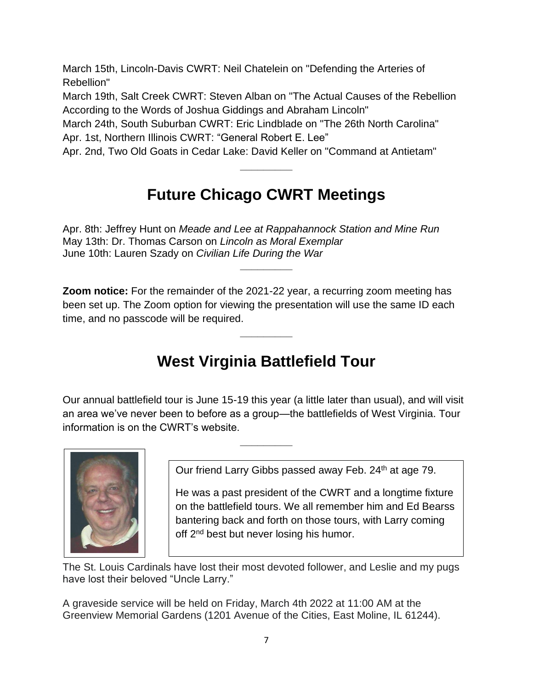March 15th, Lincoln-Davis CWRT: Neil Chatelein on "Defending the Arteries of Rebellion"

March 19th, Salt Creek CWRT: Steven Alban on "The Actual Causes of the Rebellion According to the Words of Joshua Giddings and Abraham Lincoln"

March 24th, South Suburban CWRT: Eric Lindblade on "The 26th North Carolina" Apr. 1st, Northern Illinois CWRT: "General Robert E. Lee"

Apr. 2nd, Two Old Goats in Cedar Lake: David Keller on "Command at Antietam"

## **Future Chicago CWRT Meetings**

**\_\_\_\_\_\_\_\_\_**

Apr. 8th: Jeffrey Hunt on *Meade and Lee at Rappahannock Station and Mine Run* May 13th: Dr. Thomas Carson on *Lincoln as Moral Exemplar* June 10th: Lauren Szady on *Civilian Life During the War* **\_\_\_\_\_\_\_\_\_**

**Zoom notice:** For the remainder of the 2021-22 year, a recurring zoom meeting has been set up. The Zoom option for viewing the presentation will use the same ID each time, and no passcode will be required.

## **West Virginia Battlefield Tour**

**\_\_\_\_\_\_\_\_\_**

Our annual battlefield tour is June 15-19 this year (a little later than usual), and will visit an area we've never been to before as a group—the battlefields of West Virginia. Tour information is on the CWRT's website.

**\_\_\_\_\_\_\_\_\_**



Our friend Larry Gibbs passed away Feb. 24<sup>th</sup> at age 79.

He was a past president of the CWRT and a longtime fixture on the battlefield tours. We all remember him and Ed Bearss bantering back and forth on those tours, with Larry coming off 2<sup>nd</sup> best but never losing his humor.

The St. Louis Cardinals have lost their most devoted follower, and Leslie and my pugs have lost their beloved "Uncle Larry."

A graveside service will be held on Friday, March 4th 2022 at 11:00 AM at the Greenview Memorial Gardens (1201 Avenue of the Cities, East Moline, IL 61244).